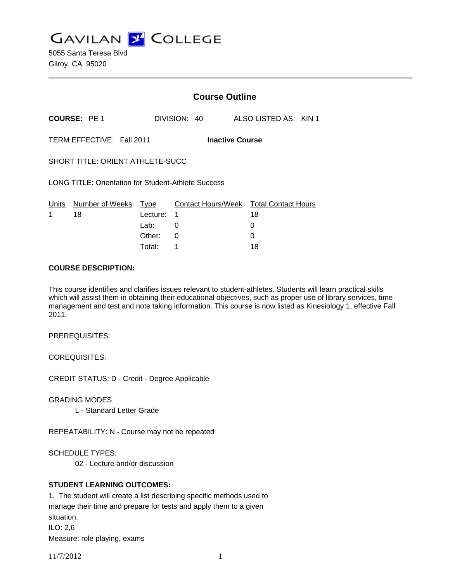**GAVILAN J COLLEGE** 

|                                                            |                     | <b>Course Outline</b> |              |                                                                   |
|------------------------------------------------------------|---------------------|-----------------------|--------------|-------------------------------------------------------------------|
|                                                            | <b>COURSE: PE 1</b> |                       | DIVISION: 40 | ALSO LISTED AS: KIN 1                                             |
| TERM EFFECTIVE: Fall 2011<br><b>Inactive Course</b>        |                     |                       |              |                                                                   |
| SHORT TITLE: ORIENT ATHLETE-SUCC                           |                     |                       |              |                                                                   |
| <b>LONG TITLE: Orientation for Student-Athlete Success</b> |                     |                       |              |                                                                   |
|                                                            |                     |                       |              | Units Number of Weeks Type Contact Hours/Week Total Contact Hours |
| 1                                                          | 18                  | Lecture:              | 1            | 18                                                                |
|                                                            |                     | Lab:                  | 0            | 0                                                                 |
|                                                            |                     | Other:                | 0            | 0                                                                 |
|                                                            |                     | Total:                | 1            | 18                                                                |

#### **COURSE DESCRIPTION:**

This course identifies and clarifies issues relevant to student-athletes. Students will learn practical skills which will assist them in obtaining their educational objectives, such as proper use of library services, time management and test and note taking information. This course is now listed as Kinesiology 1, effective Fall 2011.

PREREQUISITES:

COREQUISITES:

CREDIT STATUS: D - Credit - Degree Applicable

GRADING MODES

L - Standard Letter Grade

REPEATABILITY: N - Course may not be repeated

SCHEDULE TYPES:

02 - Lecture and/or discussion

## **STUDENT LEARNING OUTCOMES:**

1. The student will create a list describing specific methods used to manage their time and prepare for tests and apply them to a given situation. ILO: 2,6 Measure: role playing, exams

11/7/2012 1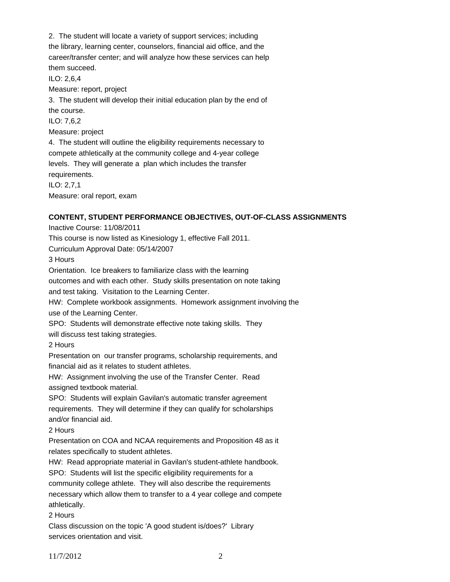2. The student will locate a variety of support services; including the library, learning center, counselors, financial aid office, and the career/transfer center; and will analyze how these services can help them succeed.

ILO: 2,6,4

Measure: report, project

3. The student will develop their initial education plan by the end of the course.

ILO: 7,6,2

Measure: project

4. The student will outline the eligibility requirements necessary to compete athletically at the community college and 4-year college levels. They will generate a plan which includes the transfer requirements.

ILO: 2,7,1 Measure: oral report, exam

# **CONTENT, STUDENT PERFORMANCE OBJECTIVES, OUT-OF-CLASS ASSIGNMENTS**

Inactive Course: 11/08/2011

This course is now listed as Kinesiology 1, effective Fall 2011.

Curriculum Approval Date: 05/14/2007

3 Hours

Orientation. Ice breakers to familiarize class with the learning

outcomes and with each other. Study skills presentation on note taking

and test taking. Visitation to the Learning Center.

HW: Complete workbook assignments. Homework assignment involving the

use of the Learning Center.

SPO: Students will demonstrate effective note taking skills. They will discuss test taking strategies.

2 Hours

Presentation on our transfer programs, scholarship requirements, and financial aid as it relates to student athletes.

HW: Assignment involving the use of the Transfer Center. Read assigned textbook material.

SPO: Students will explain Gavilan's automatic transfer agreement requirements. They will determine if they can qualify for scholarships and/or financial aid.

2 Hours

Presentation on COA and NCAA requirements and Proposition 48 as it relates specifically to student athletes.

HW: Read appropriate material in Gavilan's student-athlete handbook.

SPO: Students will list the specific eligibility requirements for a community college athlete. They will also describe the requirements necessary which allow them to transfer to a 4 year college and compete athletically.

2 Hours

Class discussion on the topic 'A good student is/does?' Library services orientation and visit.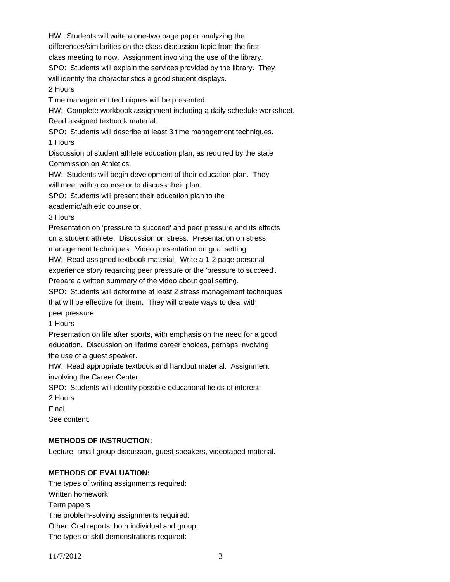HW: Students will write a one-two page paper analyzing the differences/similarities on the class discussion topic from the first class meeting to now. Assignment involving the use of the library. SPO: Students will explain the services provided by the library. They

will identify the characteristics a good student displays.

2 Hours

Time management techniques will be presented.

HW: Complete workbook assignment including a daily schedule worksheet. Read assigned textbook material.

SPO: Students will describe at least 3 time management techniques. 1 Hours

Discussion of student athlete education plan, as required by the state Commission on Athletics.

HW: Students will begin development of their education plan. They will meet with a counselor to discuss their plan.

SPO: Students will present their education plan to the

academic/athletic counselor.

#### 3 Hours

Presentation on 'pressure to succeed' and peer pressure and its effects on a student athlete. Discussion on stress. Presentation on stress management techniques. Video presentation on goal setting.

HW: Read assigned textbook material. Write a 1-2 page personal

experience story regarding peer pressure or the 'pressure to succeed'.

Prepare a written summary of the video about goal setting.

SPO: Students will determine at least 2 stress management techniques that will be effective for them. They will create ways to deal with peer pressure.

1 Hours

Presentation on life after sports, with emphasis on the need for a good education. Discussion on lifetime career choices, perhaps involving the use of a guest speaker.

HW: Read appropriate textbook and handout material. Assignment involving the Career Center.

SPO: Students will identify possible educational fields of interest. 2 Hours

Final.

See content.

## **METHODS OF INSTRUCTION:**

Lecture, small group discussion, guest speakers, videotaped material.

# **METHODS OF EVALUATION:**

The types of writing assignments required: Written homework Term papers The problem-solving assignments required: Other: Oral reports, both individual and group. The types of skill demonstrations required: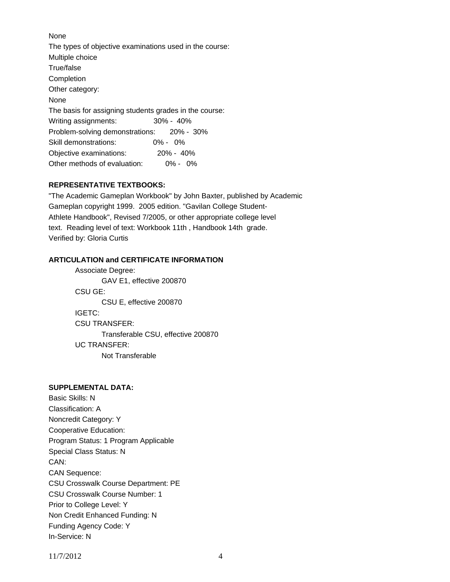None The types of objective examinations used in the course: Multiple choice True/false Completion Other category: None The basis for assigning students grades in the course: Writing assignments: 30% - 40% Problem-solving demonstrations: 20% - 30% Skill demonstrations: 0% - 0% Objective examinations: 20% - 40% Other methods of evaluation: 0% - 0%

## **REPRESENTATIVE TEXTBOOKS:**

"The Academic Gameplan Workbook" by John Baxter, published by Academic Gameplan copyright 1999. 2005 edition. "Gavilan College Student-Athlete Handbook", Revised 7/2005, or other appropriate college level text. Reading level of text: Workbook 11th , Handbook 14th grade. Verified by: Gloria Curtis

## **ARTICULATION and CERTIFICATE INFORMATION**

 Transferable CSU, effective 200870 UC TRANSFER: Not Transferable Associate Degree: GAV E1, effective 200870 CSU GE: CSU E, effective 200870 IGETC: CSU TRANSFER:

## **SUPPLEMENTAL DATA:**

Basic Skills: N Classification: A Noncredit Category: Y Cooperative Education: Program Status: 1 Program Applicable Special Class Status: N CAN: CAN Sequence: CSU Crosswalk Course Department: PE CSU Crosswalk Course Number: 1 Prior to College Level: Y Non Credit Enhanced Funding: N Funding Agency Code: Y In-Service: N

11/7/2012 4